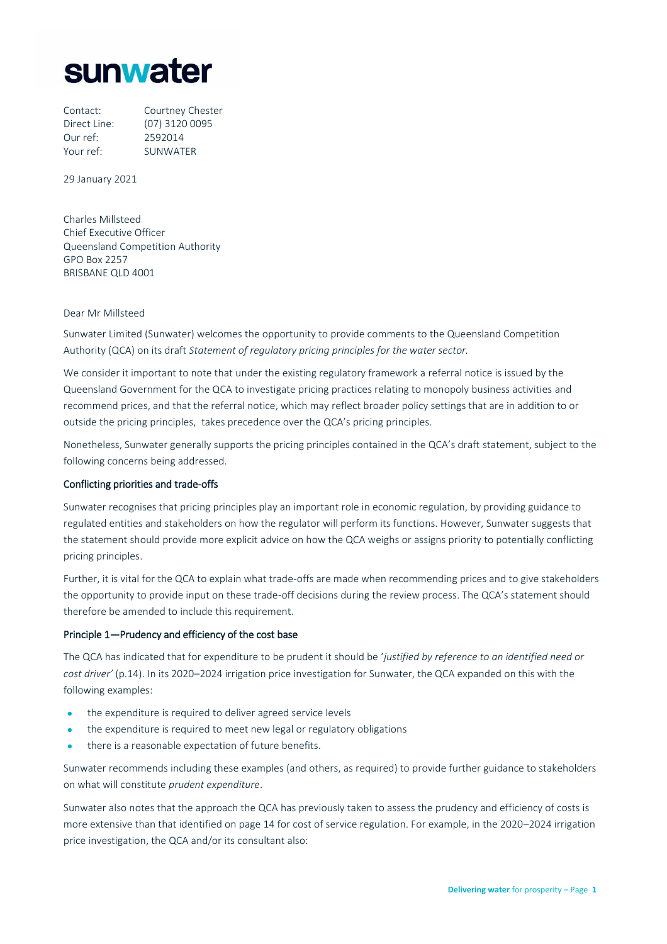

| Contact:     | Courtney Chester |
|--------------|------------------|
| Direct Line: | (07) 3120 0095   |
| Our ref:     | 2592014          |
| Your ref:    | <b>SUNWATER</b>  |

29 January 2021

Charles Millsteed Chief Executive Officer Queensland Competition Authority GPO Box 2257 BRISBANE QLD 4001

# Dear Mr Millsteed

Sunwater Limited (Sunwater) welcomes the opportunity to provide comments to the Queensland Competition Authority (QCA) on its draft *Statement of regulatory pricing principles for the water sector.*

We consider it important to note that under the existing regulatory framework a referral notice is issued by the Queensland Government for the QCA to investigate pricing practices relating to monopoly business activities and recommend prices, and that the referral notice, which may reflect broader policy settings that are in addition to or outside the pricing principles, takes precedence over the QCA's pricing principles.

Nonetheless, Sunwater generally supports the pricing principles contained in the QCA's draft statement, subject to the following concerns being addressed.

#### Conflicting priorities and trade-offs

Sunwater recognises that pricing principles play an important role in economic regulation, by providing guidance to regulated entities and stakeholders on how the regulator will perform its functions. However, Sunwater suggests that the statement should provide more explicit advice on how the QCA weighs or assigns priority to potentially conflicting pricing principles.

Further, it is vital for the QCA to explain what trade-offs are made when recommending prices and to give stakeholders the opportunity to provide input on these trade-off decisions during the review process. The QCA's statement should therefore be amended to include this requirement.

### Principle 1—Prudency and efficiency of the cost base

The QCA has indicated that for expenditure to be prudent it should be '*justified by reference to an identified need or cost driver'* (p.14). In its 2020–2024 irrigation price investigation for Sunwater, the QCA expanded on this with the following examples:

- the expenditure is required to deliver agreed service levels
- the expenditure is required to meet new legal or regulatory obligations
- there is a reasonable expectation of future benefits.

Sunwater recommends including these examples (and others, as required) to provide further guidance to stakeholders on what will constitute *prudent expenditure*.

Sunwater also notes that the approach the QCA has previously taken to assess the prudency and efficiency of costs is more extensive than that identified on page 14 for cost of service regulation. For example, in the 2020–2024 irrigation price investigation, the QCA and/or its consultant also: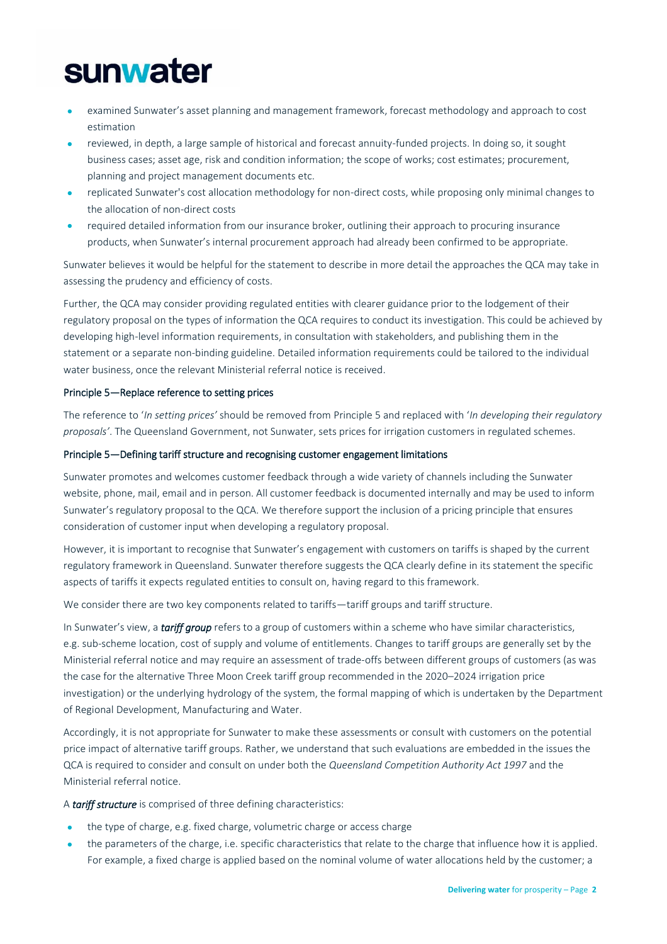# **sunwater**

- examined Sunwater's asset planning and management framework, forecast methodology and approach to cost estimation
- reviewed, in depth, a large sample of historical and forecast annuity-funded projects. In doing so, it sought business cases; asset age, risk and condition information; the scope of works; cost estimates; procurement, planning and project management documents etc.
- replicated Sunwater's cost allocation methodology for non-direct costs, while proposing only minimal changes to the allocation of non-direct costs
- required detailed information from our insurance broker, outlining their approach to procuring insurance products, when Sunwater's internal procurement approach had already been confirmed to be appropriate.

Sunwater believes it would be helpful for the statement to describe in more detail the approaches the QCA may take in assessing the prudency and efficiency of costs.

Further, the QCA may consider providing regulated entities with clearer guidance prior to the lodgement of their regulatory proposal on the types of information the QCA requires to conduct its investigation. This could be achieved by developing high-level information requirements, in consultation with stakeholders, and publishing them in the statement or a separate non-binding guideline. Detailed information requirements could be tailored to the individual water business, once the relevant Ministerial referral notice is received.

# Principle 5—Replace reference to setting prices

The reference to '*In setting prices'* should be removed from Principle 5 and replaced with '*In developing their regulatory proposals'*. The Queensland Government, not Sunwater, sets prices for irrigation customers in regulated schemes.

# Principle 5—Defining tariff structure and recognising customer engagement limitations

Sunwater promotes and welcomes customer feedback through a wide variety of channels including the Sunwater website, phone, mail, email and in person. All customer feedback is documented internally and may be used to inform Sunwater's regulatory proposal to the QCA. We therefore support the inclusion of a pricing principle that ensures consideration of customer input when developing a regulatory proposal.

However, it is important to recognise that Sunwater's engagement with customers on tariffs is shaped by the current regulatory framework in Queensland. Sunwater therefore suggests the QCA clearly define in its statement the specific aspects of tariffs it expects regulated entities to consult on, having regard to this framework.

We consider there are two key components related to tariffs—tariff groups and tariff structure.

In Sunwater's view, a *tariff group* refers to a group of customers within a scheme who have similar characteristics, e.g. sub-scheme location, cost of supply and volume of entitlements. Changes to tariff groups are generally set by the Ministerial referral notice and may require an assessment of trade-offs between different groups of customers (as was the case for the alternative Three Moon Creek tariff group recommended in the 2020–2024 irrigation price investigation) or the underlying hydrology of the system, the formal mapping of which is undertaken by the Department of Regional Development, Manufacturing and Water.

Accordingly, it is not appropriate for Sunwater to make these assessments or consult with customers on the potential price impact of alternative tariff groups. Rather, we understand that such evaluations are embedded in the issues the QCA is required to consider and consult on under both the *Queensland Competition Authority Act 1997* and the Ministerial referral notice.

A *tariff structure* is comprised of three defining characteristics:

- the type of charge, e.g. fixed charge, volumetric charge or access charge
- the parameters of the charge, i.e. specific characteristics that relate to the charge that influence how it is applied. For example, a fixed charge is applied based on the nominal volume of water allocations held by the customer; a